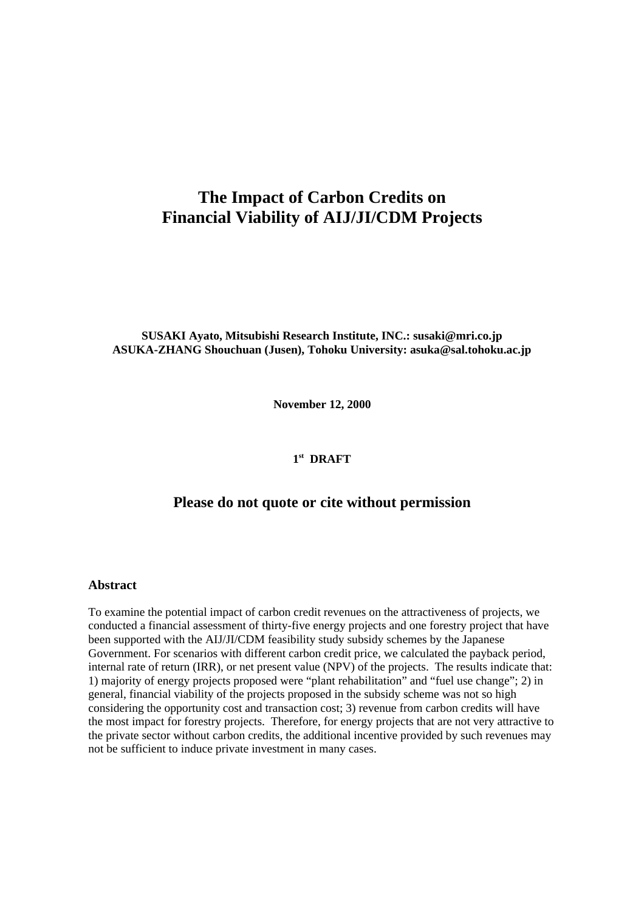# **The Impact of Carbon Credits on Financial Viability of AIJ/JI/CDM Projects**

**SUSAKI Ayato, Mitsubishi Research Institute, INC.: susaki@mri.co.jp ASUKA-ZHANG Shouchuan (Jusen), Tohoku University: asuka@sal.tohoku.ac.jp**

**November 12, 2000**

#### **1 st DRAFT**

### **Please do not quote or cite without permission**

#### **Abstract**

To examine the potential impact of carbon credit revenues on the attractiveness of projects, we conducted a financial assessment of thirty-five energy projects and one forestry project that have been supported with the AIJ/JI/CDM feasibility study subsidy schemes by the Japanese Government. For scenarios with different carbon credit price, we calculated the payback period, internal rate of return (IRR), or net present value (NPV) of the projects. The results indicate that: 1) majority of energy projects proposed were "plant rehabilitation" and "fuel use change"; 2) in general, financial viability of the projects proposed in the subsidy scheme was not so high considering the opportunity cost and transaction cost; 3) revenue from carbon credits will have the most impact for forestry projects. Therefore, for energy projects that are not very attractive to the private sector without carbon credits, the additional incentive provided by such revenues may not be sufficient to induce private investment in many cases.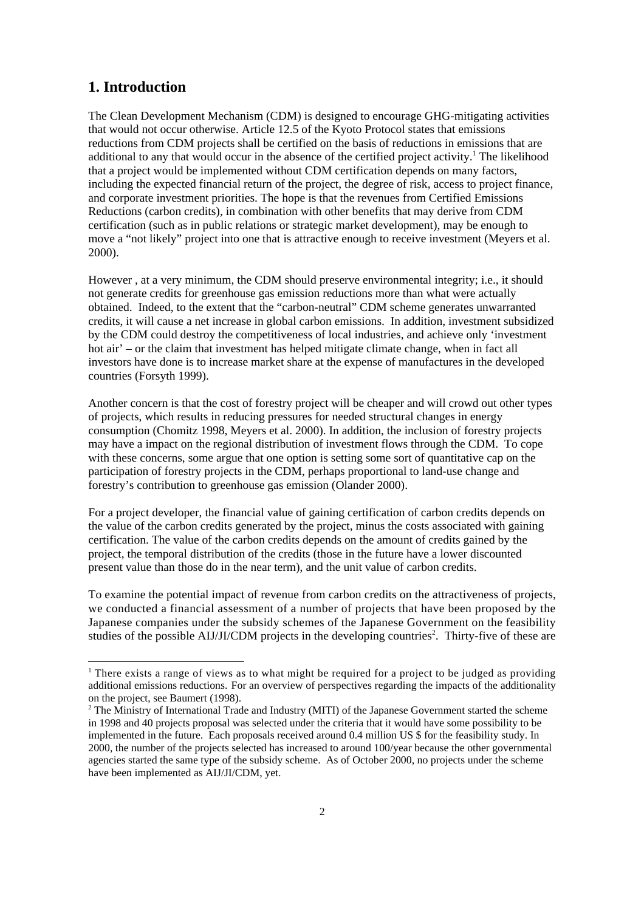## **1. Introduction**

l

The Clean Development Mechanism (CDM) is designed to encourage GHG-mitigating activities that would not occur otherwise. Article 12.5 of the Kyoto Protocol states that emissions reductions from CDM projects shall be certified on the basis of reductions in emissions that are additional to any that would occur in the absence of the certified project activity.<sup>1</sup> The likelihood that a project would be implemented without CDM certification depends on many factors, including the expected financial return of the project, the degree of risk, access to project finance, and corporate investment priorities. The hope is that the revenues from Certified Emissions Reductions (carbon credits), in combination with other benefits that may derive from CDM certification (such as in public relations or strategic market development), may be enough to move a "not likely" project into one that is attractive enough to receive investment (Meyers et al. 2000).

However , at a very minimum, the CDM should preserve environmental integrity; i.e., it should not generate credits for greenhouse gas emission reductions more than what were actually obtained. Indeed, to the extent that the "carbon-neutral" CDM scheme generates unwarranted credits, it will cause a net increase in global carbon emissions. In addition, investment subsidized by the CDM could destroy the competitiveness of local industries, and achieve only 'investment hot air' – or the claim that investment has helped mitigate climate change, when in fact all investors have done is to increase market share at the expense of manufactures in the developed countries (Forsyth 1999).

Another concern is that the cost of forestry project will be cheaper and will crowd out other types of projects, which results in reducing pressures for needed structural changes in energy consumption (Chomitz 1998, Meyers et al. 2000). In addition, the inclusion of forestry projects may have a impact on the regional distribution of investment flows through the CDM. To cope with these concerns, some argue that one option is setting some sort of quantitative cap on the participation of forestry projects in the CDM, perhaps proportional to land-use change and forestry's contribution to greenhouse gas emission (Olander 2000).

For a project developer, the financial value of gaining certification of carbon credits depends on the value of the carbon credits generated by the project, minus the costs associated with gaining certification. The value of the carbon credits depends on the amount of credits gained by the project, the temporal distribution of the credits (those in the future have a lower discounted present value than those do in the near term), and the unit value of carbon credits.

To examine the potential impact of revenue from carbon credits on the attractiveness of projects, we conducted a financial assessment of a number of projects that have been proposed by the Japanese companies under the subsidy schemes of the Japanese Government on the feasibility studies of the possible AIJ/JI/CDM projects in the developing countries<sup>2</sup>. Thirty-five of these are

<sup>&</sup>lt;sup>1</sup> There exists a range of views as to what might be required for a project to be judged as providing additional emissions reductions. For an overview of perspectives regarding the impacts of the additionality on the project, see Baumert (1998).

<sup>&</sup>lt;sup>2</sup> The Ministry of International Trade and Industry (MITI) of the Japanese Government started the scheme in 1998 and 40 projects proposal was selected under the criteria that it would have some possibility to be implemented in the future. Each proposals received around 0.4 million US \$ for the feasibility study. In 2000, the number of the projects selected has increased to around 100/year because the other governmental agencies started the same type of the subsidy scheme. As of October 2000, no projects under the scheme have been implemented as AIJ/JI/CDM, yet.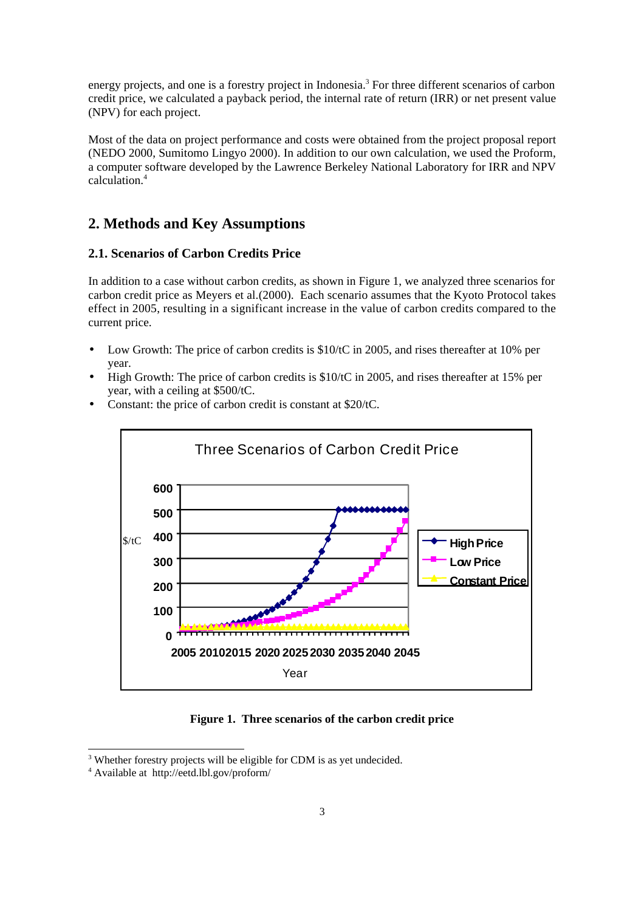energy projects, and one is a forestry project in Indonesia.<sup>3</sup> For three different scenarios of carbon credit price, we calculated a payback period, the internal rate of return (IRR) or net present value (NPV) for each project.

Most of the data on project performance and costs were obtained from the project proposal report (NEDO 2000, Sumitomo Lingyo 2000). In addition to our own calculation, we used the Proform, a computer software developed by the Lawrence Berkeley National Laboratory for IRR and NPV calculation.<sup>4</sup>

## **2. Methods and Key Assumptions**

#### **2.1. Scenarios of Carbon Credits Price**

In addition to a case without carbon credits, as shown in Figure 1, we analyzed three scenarios for carbon credit price as Meyers et al.(2000). Each scenario assumes that the Kyoto Protocol takes effect in 2005, resulting in a significant increase in the value of carbon credits compared to the current price.

- Low Growth: The price of carbon credits is \$10/tC in 2005, and rises thereafter at 10% per year.
- High Growth: The price of carbon credits is \$10/tC in 2005, and rises thereafter at 15% per year, with a ceiling at \$500/tC.



• Constant: the price of carbon credit is constant at \$20/tC.

**Figure 1. Three scenarios of the carbon credit price**

l

<sup>&</sup>lt;sup>3</sup> Whether forestry projects will be eligible for CDM is as yet undecided.

<sup>4</sup> Available at http://eetd.lbl.gov/proform/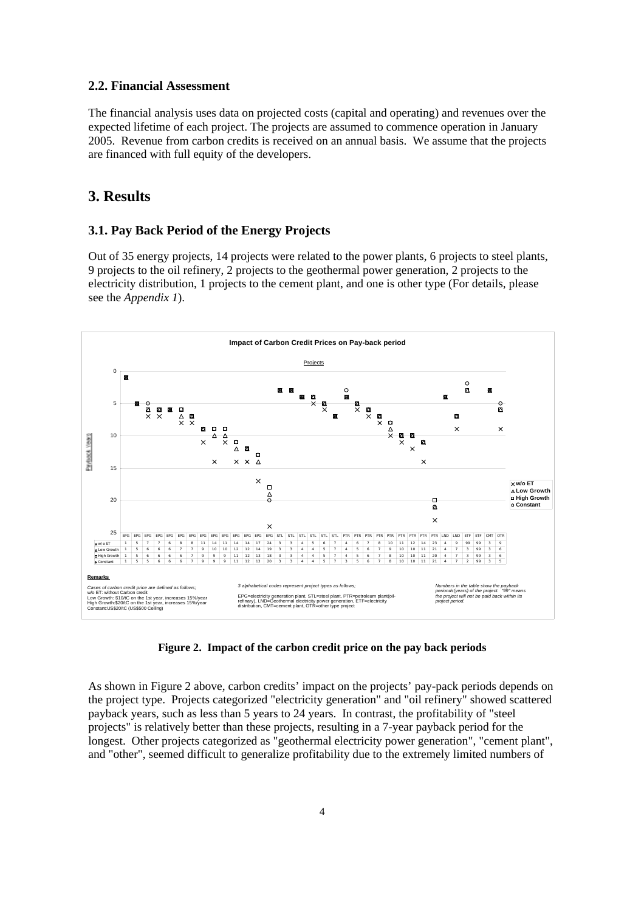#### **2.2. Financial Assessment**

The financial analysis uses data on projected costs (capital and operating) and revenues over the expected lifetime of each project. The projects are assumed to commence operation in January 2005. Revenue from carbon credits is received on an annual basis. We assume that the projects are financed with full equity of the developers.

## **3. Results**

#### **3.1. Pay Back Period of the Energy Projects**

Out of 35 energy projects, 14 projects were related to the power plants, 6 projects to steel plants, 9 projects to the oil refinery, 2 projects to the geothermal power generation, 2 projects to the electricity distribution, 1 projects to the cement plant, and one is other type (For details, please see the *Appendix 1*).



**Figure 2. Impact of the carbon credit price on the pay back periods**

As shown in Figure 2 above, carbon credits' impact on the projects' pay-pack periods depends on the project type. Projects categorized "electricity generation" and "oil refinery" showed scattered payback years, such as less than 5 years to 24 years. In contrast, the profitability of "steel projects" is relatively better than these projects, resulting in a 7-year payback period for the longest. Other projects categorized as "geothermal electricity power generation", "cement plant", and "other", seemed difficult to generalize profitability due to the extremely limited numbers of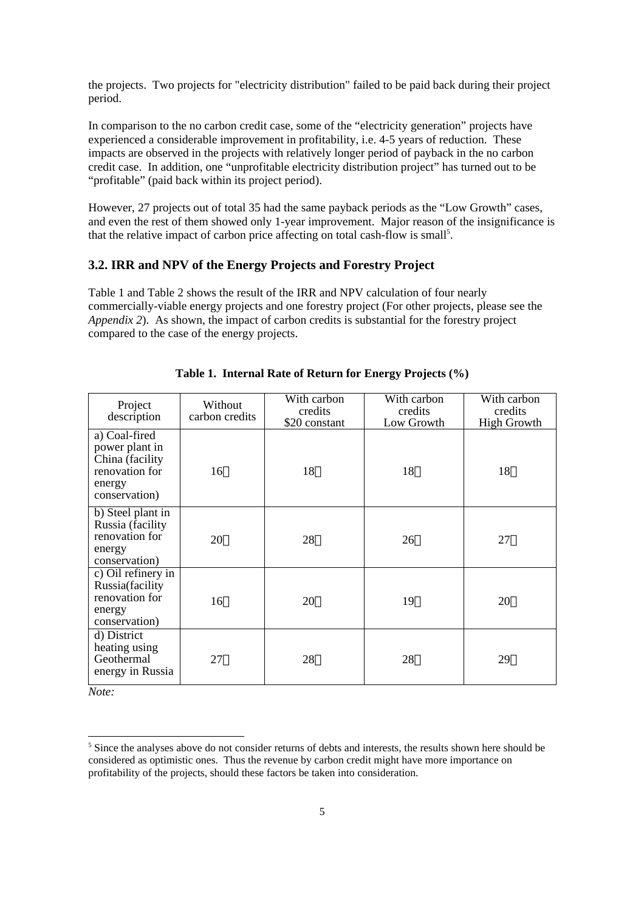the projects. Two projects for "electricity distribution" failed to be paid back during their project period.

In comparison to the no carbon credit case, some of the "electricity generation" projects have experienced a considerable improvement in profitability, i.e. 4-5 years of reduction. These impacts are observed in the projects with relatively longer period of payback in the no carbon credit case. In addition, one "unprofitable electricity distribution project" has turned out to be "profitable" (paid back within its project period).

However, 27 projects out of total 35 had the same payback periods as the "Low Growth" cases, and even the rest of them showed only 1-year improvement. Major reason of the insignificance is that the relative impact of carbon price affecting on total cash-flow is small<sup>5</sup>.

#### **3.2. IRR and NPV of the Energy Projects and Forestry Project**

Table 1 and Table 2 shows the result of the IRR and NPV calculation of four nearly commercially-viable energy projects and one forestry project (For other projects, please see the *Appendix 2*). As shown, the impact of carbon credits is substantial for the forestry project compared to the case of the energy projects.

| Project<br>description                                                                          | Without<br>carbon credits | With carbon<br>credits<br>\$20 constant | With carbon<br>credits<br>Low Growth | With carbon<br>credits<br><b>High Growth</b> |
|-------------------------------------------------------------------------------------------------|---------------------------|-----------------------------------------|--------------------------------------|----------------------------------------------|
| a) Coal-fired<br>power plant in<br>China (facility<br>renovation for<br>energy<br>conservation) | 16                        | 18                                      | 18                                   | 18                                           |
| b) Steel plant in<br>Russia (facility<br>renovation for<br>energy<br>conservation)              | 20                        | 28                                      | 26                                   | 27                                           |
| c) Oil refinery in<br>Russia(facility<br>renovation for<br>energy<br>conservation)              | 16                        | 20                                      | 19                                   | 20                                           |
| d) District<br>heating using<br>Geothermal<br>energy in Russia                                  | 27                        | 28                                      | 28                                   | 29                                           |

**Table 1. Internal Rate of Return for Energy Projects (%)**

*Note:*

l

<sup>&</sup>lt;sup>5</sup> Since the analyses above do not consider returns of debts and interests, the results shown here should be considered as optimistic ones. Thus the revenue by carbon credit might have more importance on profitability of the projects, should these factors be taken into consideration.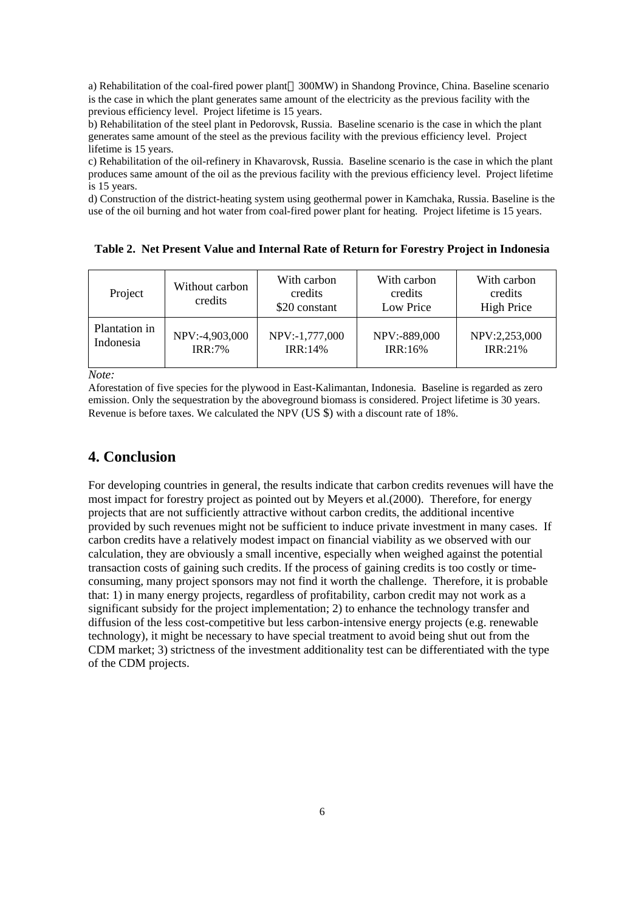a) Rehabilitation of the coal-fired power plant 300MW) in Shandong Province, China. Baseline scenario is the case in which the plant generates same amount of the electricity as the previous facility with the previous efficiency level. Project lifetime is 15 years.

b) Rehabilitation of the steel plant in Pedorovsk, Russia. Baseline scenario is the case in which the plant generates same amount of the steel as the previous facility with the previous efficiency level. Project lifetime is 15 years.

c) Rehabilitation of the oil-refinery in Khavarovsk, Russia. Baseline scenario is the case in which the plant produces same amount of the oil as the previous facility with the previous efficiency level. Project lifetime is 15 years.

d) Construction of the district-heating system using geothermal power in Kamchaka, Russia. Baseline is the use of the oil burning and hot water from coal-fired power plant for heating. Project lifetime is 15 years.

| Project       | Without carbon<br>credits | With carbon<br>credits<br>\$20 constant | With carbon<br>credits<br>Low Price | With carbon<br>credits<br><b>High Price</b> |  |  |
|---------------|---------------------------|-----------------------------------------|-------------------------------------|---------------------------------------------|--|--|
| Plantation in | NPV:-4,903,000            | NPV:-1,777,000                          | NPV:-889,000                        | NPV:2,253,000                               |  |  |
| Indonesia     | IRR:7%                    | IRR:14%                                 | IRR:16%                             | IRR:21%                                     |  |  |

**Table 2. Net Present Value and Internal Rate of Return for Forestry Project in Indonesia**

*Note:*

Aforestation of five species for the plywood in East-Kalimantan, Indonesia. Baseline is regarded as zero emission. Only the sequestration by the aboveground biomass is considered. Project lifetime is 30 years. Revenue is before taxes. We calculated the NPV (US \$) with a discount rate of 18%.

## **4. Conclusion**

For developing countries in general, the results indicate that carbon credits revenues will have the most impact for forestry project as pointed out by Meyers et al.(2000). Therefore, for energy projects that are not sufficiently attractive without carbon credits, the additional incentive provided by such revenues might not be sufficient to induce private investment in many cases. If carbon credits have a relatively modest impact on financial viability as we observed with our calculation, they are obviously a small incentive, especially when weighed against the potential transaction costs of gaining such credits. If the process of gaining credits is too costly or timeconsuming, many project sponsors may not find it worth the challenge. Therefore, it is probable that: 1) in many energy projects, regardless of profitability, carbon credit may not work as a significant subsidy for the project implementation; 2) to enhance the technology transfer and diffusion of the less cost-competitive but less carbon-intensive energy projects (e.g. renewable technology), it might be necessary to have special treatment to avoid being shut out from the CDM market; 3) strictness of the investment additionality test can be differentiated with the type of the CDM projects.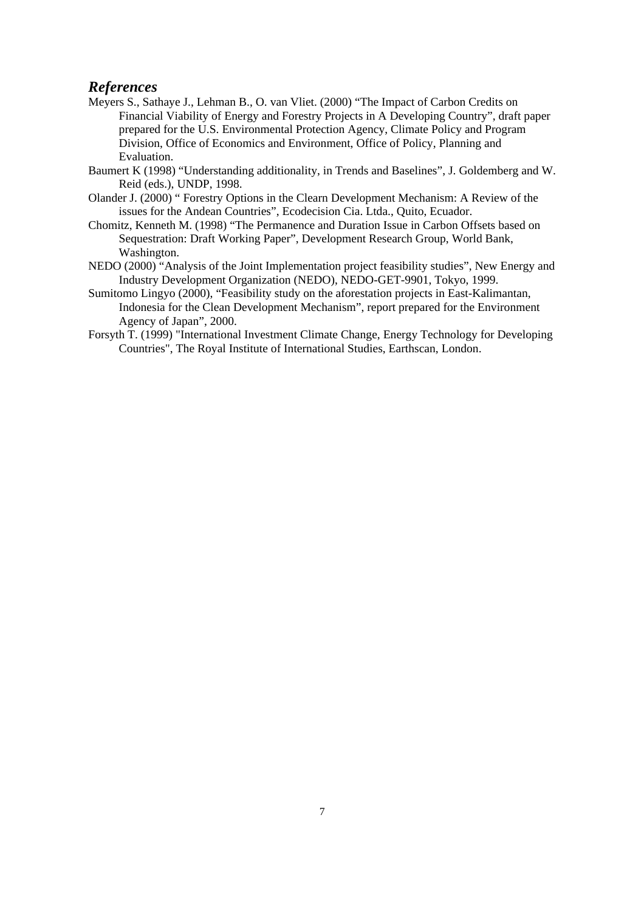## *References*

- Meyers S., Sathaye J., Lehman B., O. van Vliet. (2000) "The Impact of Carbon Credits on Financial Viability of Energy and Forestry Projects in A Developing Country", draft paper prepared for the U.S. Environmental Protection Agency, Climate Policy and Program Division, Office of Economics and Environment, Office of Policy, Planning and Evaluation.
- Baumert K (1998) "Understanding additionality, in Trends and Baselines", J. Goldemberg and W. Reid (eds.), UNDP, 1998.
- Olander J. (2000) " Forestry Options in the Clearn Development Mechanism: A Review of the issues for the Andean Countries", Ecodecision Cia. Ltda., Quito, Ecuador.
- Chomitz, Kenneth M. (1998) "The Permanence and Duration Issue in Carbon Offsets based on Sequestration: Draft Working Paper", Development Research Group, World Bank, Washington.
- NEDO (2000) "Analysis of the Joint Implementation project feasibility studies", New Energy and Industry Development Organization (NEDO), NEDO-GET-9901, Tokyo, 1999.
- Sumitomo Lingyo (2000), "Feasibility study on the aforestation projects in East-Kalimantan, Indonesia for the Clean Development Mechanism", report prepared for the Environment Agency of Japan", 2000.
- Forsyth T. (1999) "International Investment Climate Change, Energy Technology for Developing Countries", The Royal Institute of International Studies, Earthscan, London.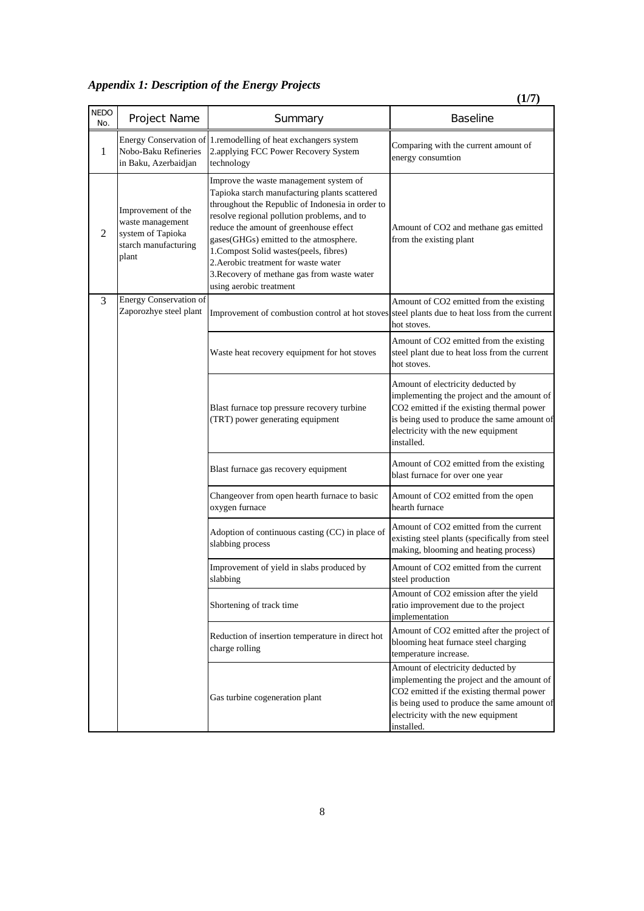*Appendix 1: Description of the Energy Projects*

|                    |                                                                                              |                                                                                                                                                                                                                                                                                                                                                                                                                                            | (1/7)                                                                                                                                                                                                                           |
|--------------------|----------------------------------------------------------------------------------------------|--------------------------------------------------------------------------------------------------------------------------------------------------------------------------------------------------------------------------------------------------------------------------------------------------------------------------------------------------------------------------------------------------------------------------------------------|---------------------------------------------------------------------------------------------------------------------------------------------------------------------------------------------------------------------------------|
| <b>NEDO</b><br>No. | <b>Project Name</b>                                                                          | Summary                                                                                                                                                                                                                                                                                                                                                                                                                                    | <b>Baseline</b>                                                                                                                                                                                                                 |
| 1                  | Energy Conservation of<br>Nobo-Baku Refineries<br>in Baku, Azerbaidjan                       | 1.remodelling of heat exchangers system<br>2.applying FCC Power Recovery System<br>technology                                                                                                                                                                                                                                                                                                                                              | Comparing with the current amount of<br>energy consumtion                                                                                                                                                                       |
| 2                  | Improvement of the<br>waste management<br>system of Tapioka<br>starch manufacturing<br>plant | Improve the waste management system of<br>Tapioka starch manufacturing plants scattered<br>throughout the Republic of Indonesia in order to<br>resolve regional pollution problems, and to<br>reduce the amount of greenhouse effect<br>gases(GHGs) emitted to the atmosphere.<br>1. Compost Solid wastes(peels, fibres)<br>2. Aerobic treatment for waste water<br>3. Recovery of methane gas from waste water<br>using aerobic treatment | Amount of CO2 and methane gas emitted<br>from the existing plant                                                                                                                                                                |
| 3                  | <b>Energy Conservation of</b><br>Zaporozhye steel plant                                      | Improvement of combustion control at hot stoves                                                                                                                                                                                                                                                                                                                                                                                            | Amount of CO2 emitted from the existing<br>steel plants due to heat loss from the current<br>hot stoves.                                                                                                                        |
|                    |                                                                                              | Waste heat recovery equipment for hot stoves                                                                                                                                                                                                                                                                                                                                                                                               | Amount of CO2 emitted from the existing<br>steel plant due to heat loss from the current<br>hot stoves.                                                                                                                         |
|                    |                                                                                              | Blast furnace top pressure recovery turbine<br>(TRT) power generating equipment                                                                                                                                                                                                                                                                                                                                                            | Amount of electricity deducted by<br>implementing the project and the amount of<br>CO2 emitted if the existing thermal power<br>is being used to produce the same amount of<br>electricity with the new equipment<br>installed. |
|                    |                                                                                              | Blast furnace gas recovery equipment                                                                                                                                                                                                                                                                                                                                                                                                       | Amount of CO2 emitted from the existing<br>blast furnace for over one year                                                                                                                                                      |
|                    |                                                                                              | Changeover from open hearth furnace to basic<br>oxygen furnace                                                                                                                                                                                                                                                                                                                                                                             | Amount of CO2 emitted from the open<br>hearth furnace                                                                                                                                                                           |
|                    |                                                                                              | Adoption of continuous casting (CC) in place of<br>slabbing process                                                                                                                                                                                                                                                                                                                                                                        | Amount of CO2 emitted from the current<br>existing steel plants (specifically from steel<br>making, blooming and heating process)                                                                                               |
|                    |                                                                                              | Improvement of yield in slabs produced by<br>slabbing                                                                                                                                                                                                                                                                                                                                                                                      | Amount of CO2 emitted from the current<br>steel production                                                                                                                                                                      |
|                    |                                                                                              | Shortening of track time                                                                                                                                                                                                                                                                                                                                                                                                                   | Amount of CO2 emission after the yield<br>ratio improvement due to the project<br>implementation                                                                                                                                |
|                    |                                                                                              | Reduction of insertion temperature in direct hot<br>charge rolling                                                                                                                                                                                                                                                                                                                                                                         | Amount of CO2 emitted after the project of<br>blooming heat furnace steel charging<br>temperature increase.                                                                                                                     |
|                    |                                                                                              | Gas turbine cogeneration plant                                                                                                                                                                                                                                                                                                                                                                                                             | Amount of electricity deducted by<br>implementing the project and the amount of<br>CO2 emitted if the existing thermal power<br>is being used to produce the same amount of<br>electricity with the new equipment<br>installed. |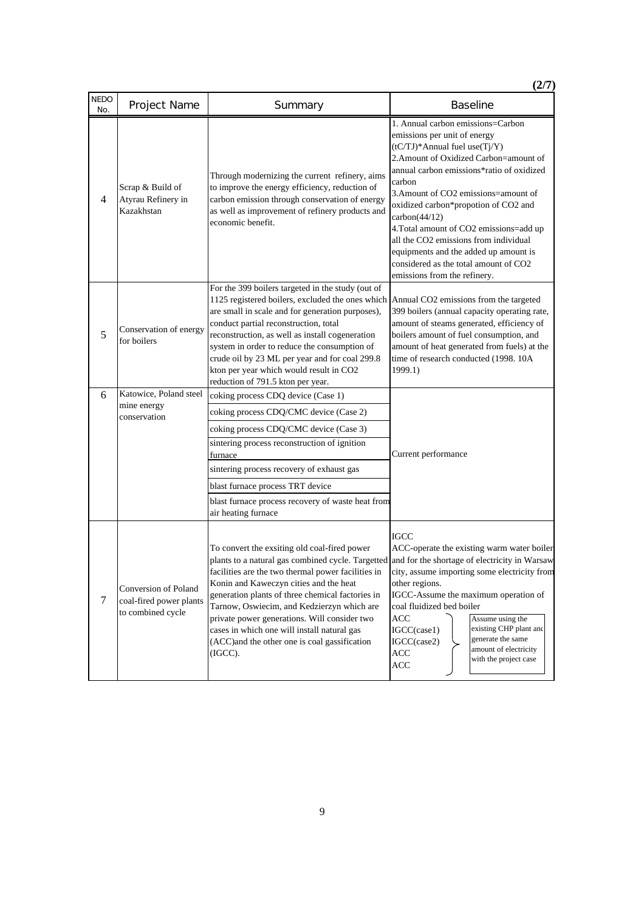|                    |                                                                      |                                                                                                                                                                                                                                                                                                                                                                                                                                                                                                             | (2/7)                                                                                                                                                                                                                                                                                                                                                                                                                                                                                                      |  |  |  |  |
|--------------------|----------------------------------------------------------------------|-------------------------------------------------------------------------------------------------------------------------------------------------------------------------------------------------------------------------------------------------------------------------------------------------------------------------------------------------------------------------------------------------------------------------------------------------------------------------------------------------------------|------------------------------------------------------------------------------------------------------------------------------------------------------------------------------------------------------------------------------------------------------------------------------------------------------------------------------------------------------------------------------------------------------------------------------------------------------------------------------------------------------------|--|--|--|--|
| <b>NEDO</b><br>No. | <b>Project Name</b>                                                  | Summary                                                                                                                                                                                                                                                                                                                                                                                                                                                                                                     | <b>Baseline</b>                                                                                                                                                                                                                                                                                                                                                                                                                                                                                            |  |  |  |  |
| 4                  | Scrap & Build of<br>Atyrau Refinery in<br>Kazakhstan                 | Through modernizing the current refinery, aims<br>to improve the energy efficiency, reduction of<br>carbon emission through conservation of energy<br>as well as improvement of refinery products and<br>economic benefit.                                                                                                                                                                                                                                                                                  | 1. Annual carbon emissions=Carbon<br>emissions per unit of energy<br>(tC/TJ)*Annual fuel use(Tj/Y)<br>2. Amount of Oxidized Carbon=amount of<br>annual carbon emissions*ratio of oxidized<br>carbon<br>3. Amount of CO2 emissions=amount of<br>oxidized carbon*propotion of CO2 and<br>carbon(44/12)<br>4. Total amount of CO2 emissions=add up<br>all the CO2 emissions from individual<br>equipments and the added up amount is<br>considered as the total amount of CO2<br>emissions from the refinery. |  |  |  |  |
| 5                  | Conservation of energy<br>for boilers                                | For the 399 boilers targeted in the study (out of<br>1125 registered boilers, excluded the ones which<br>are small in scale and for generation purposes),<br>conduct partial reconstruction, total<br>reconstruction, as well as install cogeneration<br>system in order to reduce the consumption of<br>crude oil by 23 ML per year and for coal 299.8<br>kton per year which would result in CO2<br>reduction of 791.5 kton per year.                                                                     | Annual CO2 emissions from the targeted<br>399 boilers (annual capacity operating rate,<br>amount of steams generated, efficiency of<br>boilers amount of fuel consumption, and<br>amount of heat generated from fuels) at the<br>time of research conducted (1998. 10A<br>1999.1)                                                                                                                                                                                                                          |  |  |  |  |
| 6                  | Katowice, Poland steel                                               | coking process CDQ device (Case 1)                                                                                                                                                                                                                                                                                                                                                                                                                                                                          |                                                                                                                                                                                                                                                                                                                                                                                                                                                                                                            |  |  |  |  |
|                    | mine energy<br>conservation                                          | coking process CDQ/CMC device (Case 2)                                                                                                                                                                                                                                                                                                                                                                                                                                                                      |                                                                                                                                                                                                                                                                                                                                                                                                                                                                                                            |  |  |  |  |
|                    |                                                                      | coking process CDQ/CMC device (Case 3)<br>sintering process reconstruction of ignition<br>furnace                                                                                                                                                                                                                                                                                                                                                                                                           | Current performance                                                                                                                                                                                                                                                                                                                                                                                                                                                                                        |  |  |  |  |
|                    |                                                                      | sintering process recovery of exhaust gas                                                                                                                                                                                                                                                                                                                                                                                                                                                                   |                                                                                                                                                                                                                                                                                                                                                                                                                                                                                                            |  |  |  |  |
|                    |                                                                      | blast furnace process TRT device<br>blast furnace process recovery of waste heat from<br>air heating furnace                                                                                                                                                                                                                                                                                                                                                                                                |                                                                                                                                                                                                                                                                                                                                                                                                                                                                                                            |  |  |  |  |
| $\tau$             | Conversion of Poland<br>coal-fired power plants<br>to combined cycle | To convert the exsiting old coal-fired power<br>plants to a natural gas combined cycle. Targetted and for the shortage of electricity in Warsaw<br>facilities are the two thermal power facilities in<br>Konin and Kaweczyn cities and the heat<br>generation plants of three chemical factories in<br>Tarnow, Oswiecim, and Kedzierzyn which are<br>private power generations. Will consider two<br>cases in which one will install natural gas<br>(ACC)and the other one is coal gassification<br>(IGCC). | IGCC<br>ACC-operate the existing warm water boiler<br>city, assume importing some electricity from<br>other regions.<br>IGCC-Assume the maximum operation of<br>coal fluidized bed boiler<br>ACC<br>Assume using the<br>existing CHP plant and<br>IGCC(case1)<br>generate the same<br>IGCC(case2)<br>amount of electricity<br>ACC<br>with the project case<br>ACC                                                                                                                                          |  |  |  |  |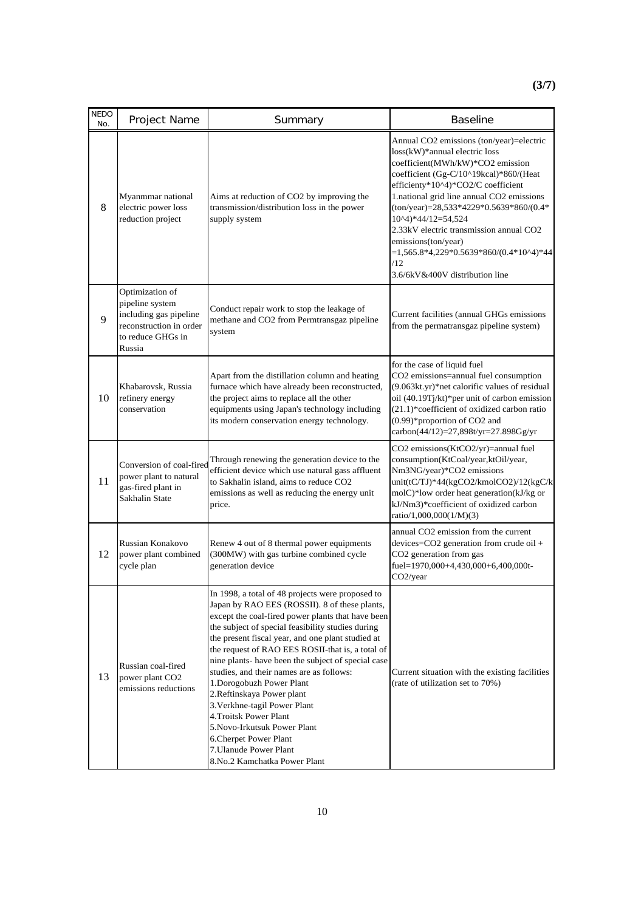| <b>NEDO</b><br>No. | Project Name                                                                                                           | Summary                                                                                                                                                                                                                                                                                                                                                                                                                                                                                                                                                                                                                                                        | <b>Baseline</b>                                                                                                                                                                                                                                                                                                                                                                                                                                                          |
|--------------------|------------------------------------------------------------------------------------------------------------------------|----------------------------------------------------------------------------------------------------------------------------------------------------------------------------------------------------------------------------------------------------------------------------------------------------------------------------------------------------------------------------------------------------------------------------------------------------------------------------------------------------------------------------------------------------------------------------------------------------------------------------------------------------------------|--------------------------------------------------------------------------------------------------------------------------------------------------------------------------------------------------------------------------------------------------------------------------------------------------------------------------------------------------------------------------------------------------------------------------------------------------------------------------|
| 8                  | Myanmmar national<br>electric power loss<br>reduction project                                                          | Aims at reduction of CO2 by improving the<br>transmission/distribution loss in the power<br>supply system                                                                                                                                                                                                                                                                                                                                                                                                                                                                                                                                                      | Annual CO2 emissions (ton/year)=electric<br>loss(kW)*annual electric loss<br>coefficient(MWh/kW)*CO2 emission<br>coefficient (Gg-C/10^19kcal)*860/(Heat<br>efficienty*10^4)*CO2/C coefficient<br>1.national grid line annual CO2 emissions<br>$(ton/year) = 28,533*4229*0.5639*860/(0.4*)$<br>10^4)*44/12=54,524<br>2.33kV electric transmission annual CO2<br>emissions(ton/year)<br>$=1,565.8*4,229*0.5639*860/(0.4*10^4)*44$<br>/12<br>3.6/6kV&400V distribution line |
| 9                  | Optimization of<br>pipeline system<br>including gas pipeline<br>reconstruction in order<br>to reduce GHGs in<br>Russia | Conduct repair work to stop the leakage of<br>methane and CO2 from Permtransgaz pipeline<br>system                                                                                                                                                                                                                                                                                                                                                                                                                                                                                                                                                             | Current facilities (annual GHGs emissions<br>from the permatransgaz pipeline system)                                                                                                                                                                                                                                                                                                                                                                                     |
| 10                 | Khabarovsk, Russia<br>refinery energy<br>conservation                                                                  | Apart from the distillation column and heating<br>furnace which have already been reconstructed,<br>the project aims to replace all the other<br>equipments using Japan's technology including<br>its modern conservation energy technology.                                                                                                                                                                                                                                                                                                                                                                                                                   | for the case of liquid fuel<br>CO2 emissions=annual fuel consumption<br>(9.063kt.yr)*net calorific values of residual<br>oil (40.19Tj/kt)*per unit of carbon emission<br>(21.1)*coefficient of oxidized carbon ratio<br>(0.99)*proportion of CO2 and<br>carbon(44/12)=27,898t/yr=27.898Gg/yr                                                                                                                                                                             |
| 11                 | Conversion of coal-fired<br>power plant to natural<br>gas-fired plant in<br>Sakhalin State                             | Through renewing the generation device to the<br>efficient device which use natural gass affluent<br>to Sakhalin island, aims to reduce CO2<br>emissions as well as reducing the energy unit<br>price.                                                                                                                                                                                                                                                                                                                                                                                                                                                         | CO2 emissions(KtCO2/yr)=annual fuel<br>consumption(KtCoal/year,ktOil/year,<br>Nm3NG/year)*CO2 emissions<br>unit(tC/TJ)*44(kgCO2/kmolCO2)/12(kgC/k<br>molC)*low order heat generation(kJ/kg or<br>kJ/Nm3)*coefficient of oxidized carbon<br>ratio/1,000,000(1/M)(3)                                                                                                                                                                                                       |
| 12                 | Russian Konakovo<br>power plant combined<br>cycle plan                                                                 | Renew 4 out of 8 thermal power equipments<br>(300MW) with gas turbine combined cycle<br>generation device                                                                                                                                                                                                                                                                                                                                                                                                                                                                                                                                                      | annual CO2 emission from the current<br>devices=CO2 generation from crude oil +<br>CO <sub>2</sub> generation from gas<br>fuel=1970,000+4,430,000+6,400,000t-<br>CO2/year                                                                                                                                                                                                                                                                                                |
| 13                 | Russian coal-fired<br>power plant CO <sub>2</sub><br>emissions reductions                                              | In 1998, a total of 48 projects were proposed to<br>Japan by RAO EES (ROSSII). 8 of these plants,<br>except the coal-fired power plants that have been<br>the subject of special feasibility studies during<br>the present fiscal year, and one plant studied at<br>the request of RAO EES ROSII-that is, a total of<br>nine plants- have been the subject of special case<br>studies, and their names are as follows:<br>1. Dorogobuzh Power Plant<br>2.Reftinskaya Power plant<br>3. Verkhne-tagil Power Plant<br>4. Troitsk Power Plant<br>5. Novo-Irkutsuk Power Plant<br>6. Cherpet Power Plant<br>7. Ulanude Power Plant<br>8.No.2 Kamchatka Power Plant | Current situation with the existing facilities<br>(rate of utilization set to 70%)                                                                                                                                                                                                                                                                                                                                                                                       |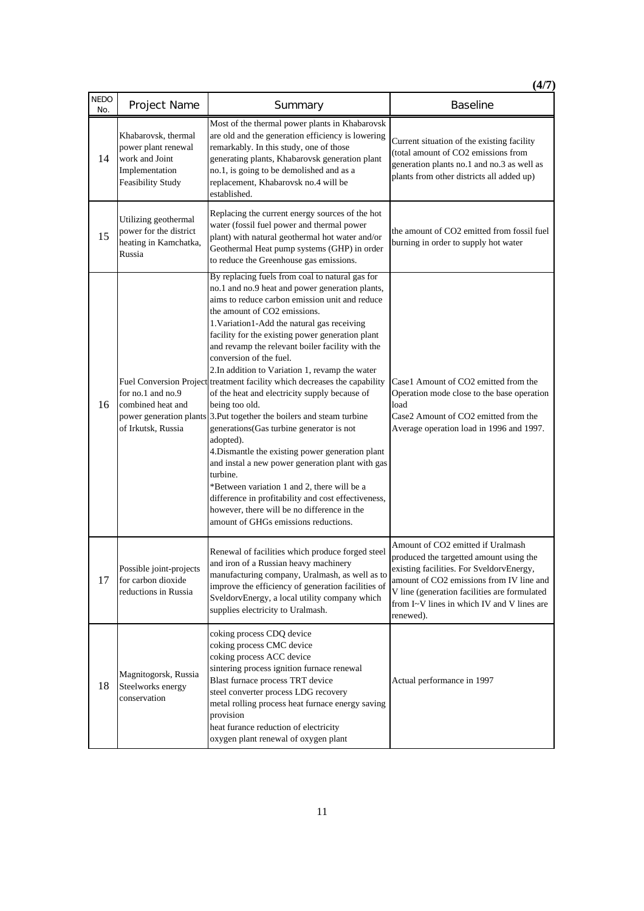|                    |                                                                                                     |                                                                                                                                                                                                                                                                                                                                                                                                                                                                                                                                                                                                                                                                                                                                                                                                                                                                                                                                                                                                     | (4/7)                                                                                                                                                                                                                                                                           |
|--------------------|-----------------------------------------------------------------------------------------------------|-----------------------------------------------------------------------------------------------------------------------------------------------------------------------------------------------------------------------------------------------------------------------------------------------------------------------------------------------------------------------------------------------------------------------------------------------------------------------------------------------------------------------------------------------------------------------------------------------------------------------------------------------------------------------------------------------------------------------------------------------------------------------------------------------------------------------------------------------------------------------------------------------------------------------------------------------------------------------------------------------------|---------------------------------------------------------------------------------------------------------------------------------------------------------------------------------------------------------------------------------------------------------------------------------|
| <b>NEDO</b><br>No. | Project Name                                                                                        | Summary                                                                                                                                                                                                                                                                                                                                                                                                                                                                                                                                                                                                                                                                                                                                                                                                                                                                                                                                                                                             | <b>Baseline</b>                                                                                                                                                                                                                                                                 |
| 14                 | Khabarovsk, thermal<br>power plant renewal<br>work and Joint<br>Implementation<br>Feasibility Study | Most of the thermal power plants in Khabarovsk<br>are old and the generation efficiency is lowering<br>remarkably. In this study, one of those<br>generating plants, Khabarovsk generation plant<br>no.1, is going to be demolished and as a<br>replacement, Khabarovsk no.4 will be<br>established.                                                                                                                                                                                                                                                                                                                                                                                                                                                                                                                                                                                                                                                                                                | Current situation of the existing facility<br>(total amount of CO2 emissions from<br>generation plants no.1 and no.3 as well as<br>plants from other districts all added up)                                                                                                    |
| 15                 | Utilizing geothermal<br>power for the district<br>heating in Kamchatka,<br>Russia                   | Replacing the current energy sources of the hot<br>water (fossil fuel power and thermal power<br>plant) with natural geothermal hot water and/or<br>Geothermal Heat pump systems (GHP) in order<br>to reduce the Greenhouse gas emissions.                                                                                                                                                                                                                                                                                                                                                                                                                                                                                                                                                                                                                                                                                                                                                          | the amount of CO2 emitted from fossil fuel<br>burning in order to supply hot water                                                                                                                                                                                              |
| 16                 | for no.1 and no.9<br>combined heat and<br>power generation plants<br>of Irkutsk, Russia             | By replacing fuels from coal to natural gas for<br>no.1 and no.9 heat and power generation plants,<br>aims to reduce carbon emission unit and reduce<br>the amount of CO2 emissions.<br>1. Variation1-Add the natural gas receiving<br>facility for the existing power generation plant<br>and revamp the relevant boiler facility with the<br>conversion of the fuel.<br>2.In addition to Variation 1, revamp the water<br>Fuel Conversion Project treatment facility which decreases the capability<br>of the heat and electricity supply because of<br>being too old.<br>3. Put together the boilers and steam turbine<br>generations(Gas turbine generator is not<br>adopted).<br>4. Dismantle the existing power generation plant<br>and instal a new power generation plant with gas<br>turbine.<br>*Between variation 1 and 2, there will be a<br>difference in profitability and cost effectiveness,<br>however, there will be no difference in the<br>amount of GHGs emissions reductions. | Case1 Amount of CO2 emitted from the<br>Operation mode close to the base operation<br>load<br>Case2 Amount of CO2 emitted from the<br>Average operation load in 1996 and 1997.                                                                                                  |
| 17                 | Possible joint-projects<br>for carbon dioxide<br>reductions in Russia                               | Renewal of facilities which produce forged steel<br>and iron of a Russian heavy machinery<br>manufacturing company, Uralmash, as well as to<br>improve the efficiency of generation facilities of<br>SveldorvEnergy, a local utility company which<br>supplies electricity to Uralmash.                                                                                                                                                                                                                                                                                                                                                                                                                                                                                                                                                                                                                                                                                                             | Amount of CO2 emitted if Uralmash<br>produced the targetted amount using the<br>existing facilities. For SveldorvEnergy,<br>amount of CO2 emissions from IV line and<br>V line (generation facilities are formulated<br>from I~V lines in which IV and V lines are<br>renewed). |
| 18                 | Magnitogorsk, Russia<br>Steelworks energy<br>conservation                                           | coking process CDQ device<br>coking process CMC device<br>coking process ACC device<br>sintering process ignition furnace renewal<br>Blast furnace process TRT device<br>steel converter process LDG recovery<br>metal rolling process heat furnace energy saving<br>provision<br>heat furance reduction of electricity<br>oxygen plant renewal of oxygen plant                                                                                                                                                                                                                                                                                                                                                                                                                                                                                                                                                                                                                                     | Actual performance in 1997                                                                                                                                                                                                                                                      |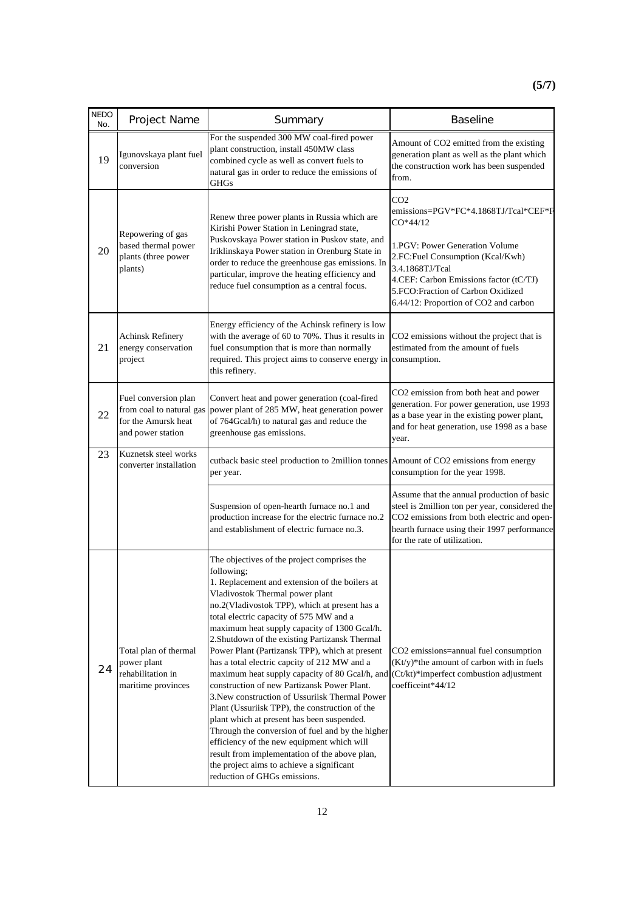| <b>NEDO</b><br>No. | Project Name                                                                                 | Summary                                                                                                                                                                                                                                                                                                                                                                                                                                                                                                                                                                                                                                                                                                                                                                                                                                                                                                                           | <b>Baseline</b>                                                                                                                                                                                                                                                                         |
|--------------------|----------------------------------------------------------------------------------------------|-----------------------------------------------------------------------------------------------------------------------------------------------------------------------------------------------------------------------------------------------------------------------------------------------------------------------------------------------------------------------------------------------------------------------------------------------------------------------------------------------------------------------------------------------------------------------------------------------------------------------------------------------------------------------------------------------------------------------------------------------------------------------------------------------------------------------------------------------------------------------------------------------------------------------------------|-----------------------------------------------------------------------------------------------------------------------------------------------------------------------------------------------------------------------------------------------------------------------------------------|
| 19                 | Igunovskaya plant fuel<br>conversion                                                         | For the suspended 300 MW coal-fired power<br>plant construction, install 450MW class<br>combined cycle as well as convert fuels to<br>natural gas in order to reduce the emissions of<br>GHGs                                                                                                                                                                                                                                                                                                                                                                                                                                                                                                                                                                                                                                                                                                                                     | Amount of CO2 emitted from the existing<br>generation plant as well as the plant which<br>the construction work has been suspended<br>from.                                                                                                                                             |
| 20                 | Repowering of gas<br>based thermal power<br>plants (three power<br>plants)                   | Renew three power plants in Russia which are<br>Kirishi Power Station in Leningrad state,<br>Puskovskaya Power station in Puskov state, and<br>Iriklinskaya Power station in Orenburg State in<br>order to reduce the greenhouse gas emissions. In<br>particular, improve the heating efficiency and<br>reduce fuel consumption as a central focus.                                                                                                                                                                                                                                                                                                                                                                                                                                                                                                                                                                               | CO <sub>2</sub><br>emissions=PGV*FC*4.1868TJ/Tcal*CEF*F<br>$CO*44/12$<br>1.PGV: Power Generation Volume<br>2.FC:Fuel Consumption (Kcal/Kwh)<br>3.4.1868TJ/Tcal<br>4.CEF: Carbon Emissions factor (tC/TJ)<br>5.FCO: Fraction of Carbon Oxidized<br>6.44/12: Proportion of CO2 and carbon |
| 21                 | <b>Achinsk Refinery</b><br>energy conservation<br>project                                    | Energy efficiency of the Achinsk refinery is low<br>with the average of 60 to 70%. Thus it results in<br>fuel consumption that is more than normally<br>required. This project aims to conserve energy in<br>this refinery.                                                                                                                                                                                                                                                                                                                                                                                                                                                                                                                                                                                                                                                                                                       | CO2 emissions without the project that is<br>estimated from the amount of fuels<br>consumption.                                                                                                                                                                                         |
| 22                 | Fuel conversion plan<br>from coal to natural gas<br>for the Amursk heat<br>and power station | Convert heat and power generation (coal-fired<br>power plant of 285 MW, heat generation power<br>of 764Gcal/h) to natural gas and reduce the<br>greenhouse gas emissions.                                                                                                                                                                                                                                                                                                                                                                                                                                                                                                                                                                                                                                                                                                                                                         | CO2 emission from both heat and power<br>generation. For power generation, use 1993<br>as a base year in the existing power plant,<br>and for heat generation, use 1998 as a base<br>year.                                                                                              |
| 23                 | Kuznetsk steel works<br>converter installation                                               | cutback basic steel production to 2million tonnes Amount of CO2 emissions from energy<br>per year.                                                                                                                                                                                                                                                                                                                                                                                                                                                                                                                                                                                                                                                                                                                                                                                                                                | consumption for the year 1998.                                                                                                                                                                                                                                                          |
|                    |                                                                                              | Suspension of open-hearth furnace no.1 and<br>production increase for the electric furnace no.2<br>and establishment of electric furnace no.3.                                                                                                                                                                                                                                                                                                                                                                                                                                                                                                                                                                                                                                                                                                                                                                                    | Assume that the annual production of basic<br>steel is 2million ton per year, considered the<br>CO2 emissions from both electric and open-<br>hearth furnace using their 1997 performance<br>for the rate of utilization.                                                               |
| 24                 | Total plan of thermal<br>power plant<br>rehabilitation in<br>maritime provinces              | The objectives of the project comprises the<br>following;<br>1. Replacement and extension of the boilers at<br>Vladivostok Thermal power plant<br>no.2(Vladivostok TPP), which at present has a<br>total electric capacity of 575 MW and a<br>maximum heat supply capacity of 1300 Gcal/h.<br>2. Shutdown of the existing Partizansk Thermal<br>Power Plant (Partizansk TPP), which at present<br>has a total electric capcity of 212 MW and a<br>maximum heat supply capacity of 80 Gcal/h, and<br>construction of new Partizansk Power Plant.<br>3. New construction of Ussuriisk Thermal Power<br>Plant (Ussuriisk TPP), the construction of the<br>plant which at present has been suspended.<br>Through the conversion of fuel and by the higher<br>efficiency of the new equipment which will<br>result from implementation of the above plan,<br>the project aims to achieve a significant<br>reduction of GHGs emissions. | CO2 emissions=annual fuel consumption<br>(Kt/y)*the amount of carbon with in fuels<br>(Ct/kt)*imperfect combustion adjustment<br>coefficeint*44/12                                                                                                                                      |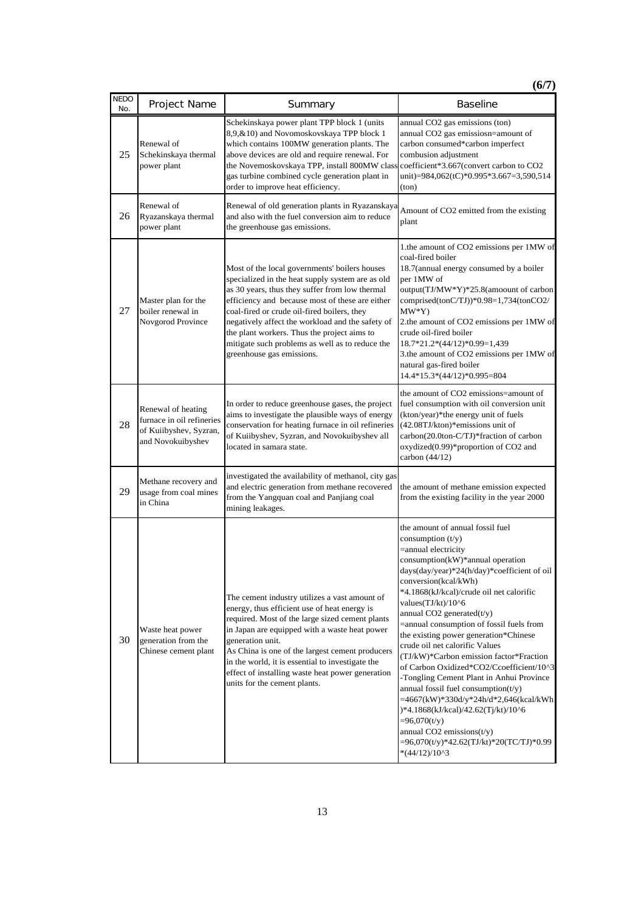**(6/7)**

| <b>NEDO</b><br>No. | Project Name                                                                                   | Summary                                                                                                                                                                                                                                                                                                                                                                                                                                  | <b>Baseline</b>                                                                                                                                                                                                                                                                                                                                                                                                                                                                                                                                                                                                                                                                                                                                                                                  |
|--------------------|------------------------------------------------------------------------------------------------|------------------------------------------------------------------------------------------------------------------------------------------------------------------------------------------------------------------------------------------------------------------------------------------------------------------------------------------------------------------------------------------------------------------------------------------|--------------------------------------------------------------------------------------------------------------------------------------------------------------------------------------------------------------------------------------------------------------------------------------------------------------------------------------------------------------------------------------------------------------------------------------------------------------------------------------------------------------------------------------------------------------------------------------------------------------------------------------------------------------------------------------------------------------------------------------------------------------------------------------------------|
| 25                 | Renewal of<br>Schekinskaya thermal<br>power plant                                              | Schekinskaya power plant TPP block 1 (units<br>8,9,&10) and Novomoskovskaya TPP block 1<br>which contains 100MW generation plants. The<br>above devices are old and require renewal. For<br>the Novemoskovskaya TPP, install 800MW class<br>gas turbine combined cycle generation plant in<br>order to improve heat efficiency.                                                                                                          | annual CO2 gas emissions (ton)<br>annual CO2 gas emissiosn=amount of<br>carbon consumed*carbon imperfect<br>combusion adjustment<br>coefficient*3.667(convert carbon to CO2<br>unit)=984,062(tC)*0.995*3.667=3,590,514<br>(ton)                                                                                                                                                                                                                                                                                                                                                                                                                                                                                                                                                                  |
| 26                 | Renewal of<br>Ryazanskaya thermal<br>power plant                                               | Renewal of old generation plants in Ryazanskaya<br>and also with the fuel conversion aim to reduce<br>the greenhouse gas emissions.                                                                                                                                                                                                                                                                                                      | Amount of CO2 emitted from the existing<br>plant                                                                                                                                                                                                                                                                                                                                                                                                                                                                                                                                                                                                                                                                                                                                                 |
| 27                 | Master plan for the<br>boiler renewal in<br>Novgorod Province                                  | Most of the local governments' boilers houses<br>specialized in the heat supply system are as old<br>as 30 years, thus they suffer from low thermal<br>efficiency and because most of these are either<br>coal-fired or crude oil-fired boilers, they<br>negatively affect the workload and the safety of<br>the plant workers. Thus the project aims to<br>mitigate such problems as well as to reduce the<br>greenhouse gas emissions. | 1.the amount of CO2 emissions per 1MW of<br>coal-fired boiler<br>18.7(annual energy consumed by a boiler<br>per 1MW of<br>output(TJ/MW*Y)*25.8(amoount of carbon<br>comprised(tonC/TJ))*0.98=1,734(tonCO2/<br>$MW*Y)$<br>2.the amount of CO2 emissions per 1MW of<br>crude oil-fired boiler<br>18.7*21.2*(44/12)*0.99=1,439<br>3.the amount of CO2 emissions per 1MW of<br>natural gas-fired boiler<br>14.4*15.3*(44/12)*0.995=804                                                                                                                                                                                                                                                                                                                                                               |
| 28                 | Renewal of heating<br>furnace in oil refineries<br>of Kuiibyshev, Syzran,<br>and Novokuibyshev | In order to reduce greenhouse gases, the project<br>aims to investigate the plausible ways of energy<br>conservation for heating furnace in oil refineries<br>of Kuiibyshev, Syzran, and Novokuibyshev all<br>located in samara state.                                                                                                                                                                                                   | the amount of CO2 emissions=amount of<br>fuel consumption with oil conversion unit<br>(kton/year)*the energy unit of fuels<br>(42.08TJ/kton)*emissions unit of<br>carbon(20.0ton-C/TJ)*fraction of carbon<br>oxydized(0.99)*proportion of CO2 and<br>carbon (44/12)                                                                                                                                                                                                                                                                                                                                                                                                                                                                                                                              |
| 29                 | Methane recovery and<br>usage from coal mines<br>in China                                      | investigated the availability of methanol, city gas<br>and electric generation from methane recovered<br>from the Yangquan coal and Panjiang coal<br>mining leakages.                                                                                                                                                                                                                                                                    | the amount of methane emission expected<br>from the existing facility in the year 2000                                                                                                                                                                                                                                                                                                                                                                                                                                                                                                                                                                                                                                                                                                           |
| 30                 | Waste heat power<br>generation from the<br>Chinese cement plant                                | The cement industry utilizes a vast amount of<br>energy, thus efficient use of heat energy is<br>required. Most of the large sized cement plants<br>in Japan are equipped with a waste heat power<br>generation unit.<br>As China is one of the largest cement producers<br>in the world, it is essential to investigate the<br>effect of installing waste heat power generation<br>units for the cement plants.                         | the amount of annual fossil fuel<br>consumption $(t/y)$<br>=annual electricity<br>consumption(kW)*annual operation<br>days(day/year)*24(h/day)*coefficient of oil<br>conversion(kcal/kWh)<br>*4.1868(kJ/kcal)/crude oil net calorific<br>values(TJ/kt)/10^6<br>annual CO2 generated(t/y)<br>=annual consumption of fossil fuels from<br>the existing power generation*Chinese<br>crude oil net calorific Values<br>(TJ/kW)*Carbon emission factor*Fraction<br>of Carbon Oxidized*CO2/Ccoefficient/10^3<br>-Tongling Cement Plant in Anhui Province<br>annual fossil fuel consumption $(t/y)$<br>=4667(kW)*330d/y*24h/d*2,646(kcal/kWh<br>)*4.1868(kJ/kcal)/42.62(Tj/kt)/10^6<br>$= 96,070(t/y)$<br>annual CO2 emissions $(t/y)$<br>=96,070(t/y)*42.62(TJ/kt)*20(TC/TJ)*0.99<br>$*(44/12)/10^{3}$ |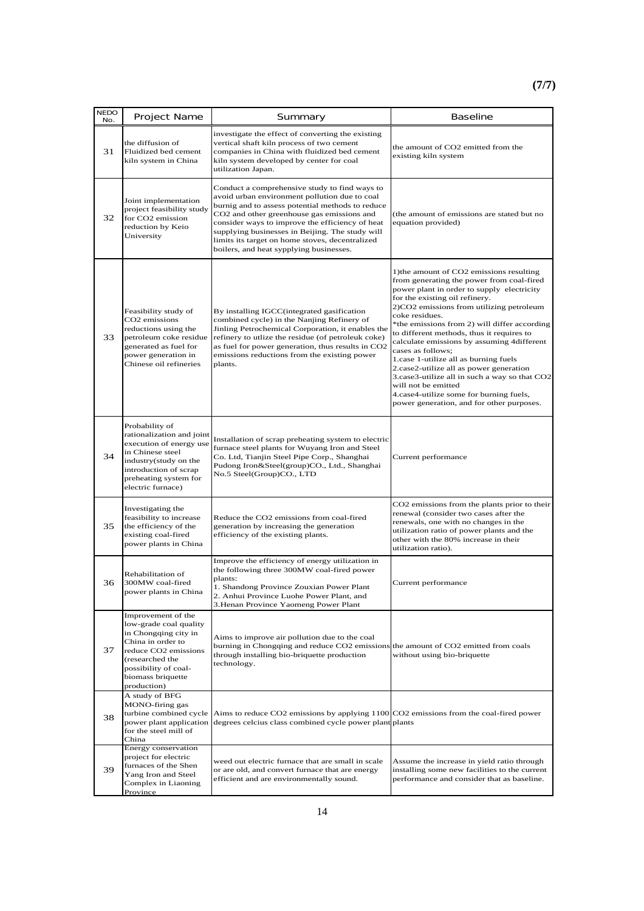| <b>NEDO</b><br>No. | Project Name                                                                                                                                                                                     | Summary                                                                                                                                                                                                                                                                                                                                                                                              | <b>Baseline</b>                                                                                                                                                                                                                                                                                                                                                                                                                                                                                                                                                                                                                                         |
|--------------------|--------------------------------------------------------------------------------------------------------------------------------------------------------------------------------------------------|------------------------------------------------------------------------------------------------------------------------------------------------------------------------------------------------------------------------------------------------------------------------------------------------------------------------------------------------------------------------------------------------------|---------------------------------------------------------------------------------------------------------------------------------------------------------------------------------------------------------------------------------------------------------------------------------------------------------------------------------------------------------------------------------------------------------------------------------------------------------------------------------------------------------------------------------------------------------------------------------------------------------------------------------------------------------|
| 31                 | the diffusion of<br>Fluidized bed cement<br>kiln system in China                                                                                                                                 | investigate the effect of converting the existing<br>vertical shaft kiln process of two cement<br>companies in China with fluidized bed cement<br>kiln system developed by center for coal<br>utilization Japan.                                                                                                                                                                                     | the amount of CO2 emitted from the<br>existing kiln system                                                                                                                                                                                                                                                                                                                                                                                                                                                                                                                                                                                              |
| 32                 | Joint implementation<br>project feasibility study<br>for CO2 emission<br>reduction by Keio<br>University                                                                                         | Conduct a comprehensive study to find ways to<br>avoid urban environment pollution due to coal<br>burnig and to assess potential methods to reduce<br>CO2 and other greenhouse gas emissions and<br>consider ways to improve the efficiency of heat<br>supplying businesses in Beijing. The study will<br>limits its target on home stoves, decentralized<br>boilers, and heat sypplying businesses. | (the amount of emissions are stated but no<br>equation provided)                                                                                                                                                                                                                                                                                                                                                                                                                                                                                                                                                                                        |
| 33                 | Feasibility study of<br>CO <sub>2</sub> emissions<br>reductions using the<br>petroleum coke residue<br>generated as fuel for<br>power generation in<br>Chinese oil refineries                    | By installing IGCC(integrated gasification<br>combined cycle) in the Nanjing Refinery of<br>Jinling Petrochemical Corporation, it enables the<br>refinery to utlize the residue (of petroleuk coke)<br>as fuel for power generation, thus results in CO2<br>emissions reductions from the existing power<br>plants.                                                                                  | 1) the amount of CO2 emissions resulting<br>from generating the power from coal-fired<br>power plant in order to supply electricity<br>for the existing oil refinery.<br>2)CO2 emissions from utilizing petroleum<br>coke residues.<br>*the emissions from 2) will differ according<br>to different methods, thus it requires to<br>calculate emissions by assuming 4different<br>cases as follows;<br>1.case 1-utilize all as burning fuels<br>2.case2-utilize all as power generation<br>3.case3-utilize all in such a way so that CO2<br>will not be emitted<br>4.case4-utilize some for burning fuels,<br>power generation, and for other purposes. |
| 34                 | Probability of<br>rationalization and joint<br>execution of energy use<br>in Chinese steel<br>industry(study on the<br>introduction of scrap<br>preheating system for<br>electric furnace)       | Installation of scrap preheating system to electric<br>furnace steel plants for Wuyang Iron and Steel<br>Co. Ltd, Tianjin Steel Pipe Corp., Shanghai<br>Pudong Iron&Steel(group)CO., Ltd., Shanghai<br>No.5 Steel(Group)CO., LTD                                                                                                                                                                     | Current performance                                                                                                                                                                                                                                                                                                                                                                                                                                                                                                                                                                                                                                     |
| 35                 | Investigating the<br>feasibility to increase<br>the efficiency of the<br>existing coal-fired<br>power plants in China                                                                            | Reduce the CO2 emissions from coal-fired<br>generation by increasing the generation<br>efficiency of the existing plants.                                                                                                                                                                                                                                                                            | CO2 emissions from the plants prior to their<br>renewal (consider two cases after the<br>renewals, one with no changes in the<br>utilization ratio of power plants and the<br>other with the 80% increase in their<br>utilization ratio).                                                                                                                                                                                                                                                                                                                                                                                                               |
| 36                 | Rehabilitation of<br>300MW coal-fired<br>power plants in China                                                                                                                                   | Improve the efficiency of energy utilization in<br>the following three 300MW coal-fired power<br>plants:<br>1. Shandong Province Zouxian Power Plant<br>2. Anhui Province Luohe Power Plant, and<br>3. Henan Province Yaomeng Power Plant                                                                                                                                                            | Current performance                                                                                                                                                                                                                                                                                                                                                                                                                                                                                                                                                                                                                                     |
| 37                 | Improvement of the<br>low-grade coal quality<br>in Chongqing city in<br>China in order to<br>reduce CO2 emissions<br>(researched the<br>possibility of coal-<br>biomass briquette<br>production) | Aims to improve air pollution due to the coal<br>burning in Chongqing and reduce CO2 emissions the amount of CO2 emitted from coals<br>through installing bio-briquette production<br>technology.                                                                                                                                                                                                    | without using bio-briquette                                                                                                                                                                                                                                                                                                                                                                                                                                                                                                                                                                                                                             |
| 38                 | A study of BFG<br>MONO-firing gas<br>turbine combined cycle<br>power plant application<br>for the steel mill of<br>China                                                                         | Aims to reduce CO2 emissions by applying 1100 CO2 emissions from the coal-fired power<br>degrees celcius class combined cycle power plant plants                                                                                                                                                                                                                                                     |                                                                                                                                                                                                                                                                                                                                                                                                                                                                                                                                                                                                                                                         |
| 39                 | Energy conservation<br>project for electric<br>furnaces of the Shen<br>Yang Iron and Steel<br>Complex in Liaoning<br>Province                                                                    | weed out electric furnace that are small in scale<br>or are old, and convert furnace that are energy<br>efficient and are environmentally sound.                                                                                                                                                                                                                                                     | Assume the increase in yield ratio through<br>installing some new facilities to the current<br>performance and consider that as baseline.                                                                                                                                                                                                                                                                                                                                                                                                                                                                                                               |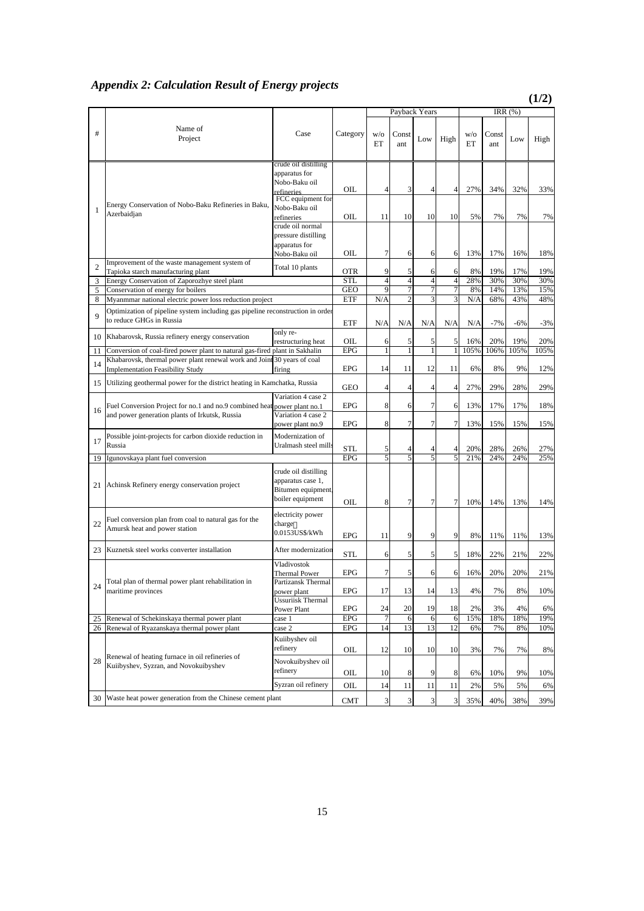# *Appendix 2: Calculation Result of Energy projects*

 **(1/2)**

|                |                                                                                                                    |                                                                                           |            |                |                | Payback Years  |                |           |              | IRR $(\%)$ |       |
|----------------|--------------------------------------------------------------------------------------------------------------------|-------------------------------------------------------------------------------------------|------------|----------------|----------------|----------------|----------------|-----------|--------------|------------|-------|
| #              | Name of<br>Project                                                                                                 | Case                                                                                      | Category   | W/O<br>ET      | Const<br>ant   | Low            | High           | W/O<br>ET | Const<br>ant | Low        | High  |
|                | Energy Conservation of Nobo-Baku Refineries in Baku,                                                               | crude oil distilling<br>apparatus for<br>Nobo-Baku oil<br>refineries<br>FCC equipment for | OIL        | 4              | 3              | 4              | 4              | 27%       | 34%          | 32%        | 33%   |
| 1              | Azerbaidjan                                                                                                        | Nobo-Baku oil<br>refineries                                                               | OIL        | 11             | 10             | 10             | 10             | 5%        | 7%           | 7%         | 7%    |
|                |                                                                                                                    | crude oil normal<br>pressure distilling<br>apparatus for<br>Nobo-Baku oil                 | OIL        | 7              | 6              | 6              | 6              | 13%       | 17%          | 16%        | 18%   |
| $\overline{2}$ | Improvement of the waste management system of<br>Tapioka starch manufacturing plant                                | Total 10 plants                                                                           | <b>OTR</b> | 9              | 5              | 6              | 6              | 8%        | 19%          | 17%        | 19%   |
| 3              | Energy Conservation of Zaporozhye steel plant                                                                      |                                                                                           | <b>STL</b> | $\overline{4}$ | $\overline{4}$ | $\overline{4}$ | $\overline{4}$ | 28%       | 30%          | 30%        | 30%   |
| 5              | Conservation of energy for boilers                                                                                 |                                                                                           | <b>GEO</b> | 9              |                | 7              | 7              | 8%        | 14%          | 13%        | 15%   |
| 8              | Myanmmar national electric power loss reduction project                                                            |                                                                                           | ETF        | N/A            | $\overline{2}$ | 3              | 3              | N/A       | 68%          | 43%        | 48%   |
| 9              | Optimization of pipeline system including gas pipeline reconstruction in order<br>to reduce GHGs in Russia         |                                                                                           | ETF        | N/A            | N/A            | N/A            | N/A            | N/A       | $-7%$        | $-6%$      | $-3%$ |
| 10             | Khabarovsk, Russia refinery energy conservation                                                                    | only re-<br>restructuring heat                                                            | OIL        | 6              | 5              | 5              | 5              | 16%       | 20%          | 19%        | 20%   |
| 11             | Conversion of coal-fired power plant to natural gas-fired plant in Sakhalin                                        |                                                                                           | <b>EPG</b> | 1              | 1              | $\mathbf{1}$   | 1              | 105%      | 106%         | 105%       | 105%  |
| 14             | Khabarovsk, thermal power plant renewal work and Joint 30 years of coal<br><b>Implementation Feasibility Study</b> | firing                                                                                    | <b>EPG</b> | 14             | 11             | 12             | 11             | 6%        | 8%           | 9%         | 12%   |
| 15             | Utilizing geothermal power for the district heating in Kamchatka, Russia                                           |                                                                                           | <b>GEO</b> | 4              | 4              | 4              | $\overline{4}$ | 27%       | 29%          | 28%        | 29%   |
| 16             | Fuel Conversion Project for no.1 and no.9 combined heat power plant no.1                                           | Variation 4 case 2                                                                        | <b>EPG</b> | 8              | 6              | 7              | 6              | 13%       | 17%          | 17%        | 18%   |
|                | and power generation plants of Irkutsk, Russia                                                                     | Variation 4 case 2<br>power plant no.9                                                    | <b>EPG</b> | 8              | 7              | 7              | 7              | 13%       | 15%          | 15%        | 15%   |
| 17             | Possible joint-projects for carbon dioxide reduction in<br>Russia                                                  | Modernization of<br>Uralmash steel mills                                                  |            |                |                |                |                |           |              |            |       |
|                |                                                                                                                    |                                                                                           | <b>STL</b> | 5              | 4              | 4              | 4              | 20%       | 28%          | 26%        | 27%   |
| 19             | Igunovskaya plant fuel conversion                                                                                  | crude oil distilling                                                                      | <b>EPG</b> | 5              | 5              | 5              | 5              | 21%       | 24%          | 24%        | 25%   |
| 21             | Achinsk Refinery energy conservation project                                                                       | apparatus case 1,<br>Bitumen equipment<br>boiler equipment                                | OIL        | 8              | 7              | 7              | 7              | 10%       | 14%          | 13%        | 14%   |
| 22             | Fuel conversion plan from coal to natural gas for the<br>Amursk heat and power station                             | electricity power<br>charge<br>0.0153US\$/kWh                                             | <b>EPG</b> | 11             | 9              | 9              | 9              | 8%        | 11%          | 11%        | 13%   |
| 23             | Kuznetsk steel works converter installation                                                                        | After modernization                                                                       | <b>STL</b> | 6              | 5              | 5              | 5              | 18%       | 22%          | 21%        | 22%   |
|                |                                                                                                                    | Vladivostok<br>Thermal Power                                                              | <b>EPG</b> | 7              | 5              | 6              | 6              | 16%       | 20%          | 20%        | 21%   |
| 24             | Total plan of thermal power plant rehabilitation in<br>maritime provinces                                          | Partizansk Thermal<br>power plant                                                         | <b>EPG</b> | 17             | 13             | 14             | 13             | 4%        | 7%           | 8%         | 10%   |
|                |                                                                                                                    | <b>Ussuriisk Thermal</b><br>Power Plant                                                   | <b>EPG</b> | 24             | 20             | 19             | 18             | 2%        | 3%           | 4%         | 6%    |
| 25             | Renewal of Schekinskaya thermal power plant                                                                        | case 1                                                                                    | <b>EPG</b> | 7              | 6              | 6              | 6              | 15%       | 18%          | 18%        | 19%   |
| 26             | Renewal of Ryazanskaya thermal power plant                                                                         | case 2                                                                                    | EPG        | 14             | 13             | 13             | 12             | 6%        | 7%           | 8%         | 10%   |
|                |                                                                                                                    | Kuiibyshev oil<br>refinery                                                                | OІL        | 12             | 10             | 10             | 10             | 3%        | 7%           | 7%         | 8%    |
| 28             | Renewal of heating furnace in oil refineries of<br>Kuiibyshev, Syzran, and Novokuibyshev                           | Novokuibyshev oil                                                                         |            |                |                |                |                |           |              |            |       |
|                |                                                                                                                    | refinery                                                                                  | OIL        | 10             | 8              | 9              | 8              | 6%        | 10%          | 9%         | 10%   |
|                |                                                                                                                    | Syzran oil refinery                                                                       | OIL        | 14             | 11             | 11             | 11             | 2%        | 5%           | 5%         | 6%    |
| 30             | Waste heat power generation from the Chinese cement plant                                                          |                                                                                           | CMT        | 3              | 3              | 3              | 3              | 35%       | 40%          | 38%        | 39%   |